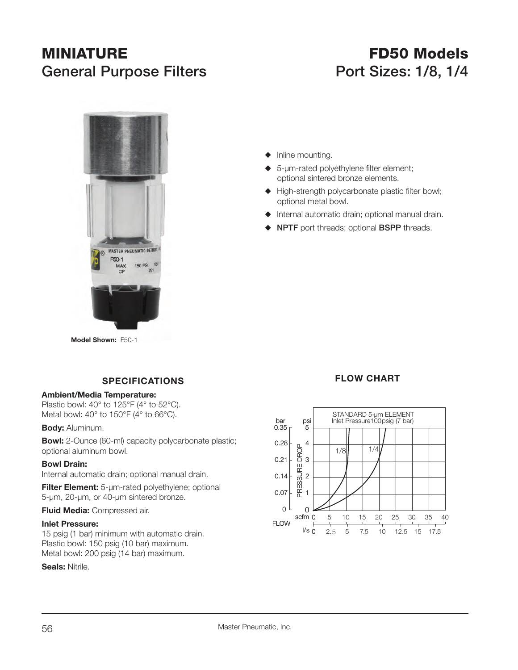# **MINIATURE**General Purpose Filters **Port Sizes: 1/8, 1/4**

# **FD50 Models**



**Model Shown:** F50-1

## **SPECIFICATIONS**

#### **Ambient/Media Temperature:**

Plastic bowl: 40° to 125°F (4° to 52°C). Metal bowl: 40° to 150°F (4° to 66°C).

**Body:** Aluminum.

**Bowl:** 2-Ounce (60-ml) capacity polycarbonate plastic; optional aluminum bowl.

#### **Bowl Drain:**

Internal automatic drain; optional manual drain.

**Filter Element:** 5-µm-rated polyethylene; optional 5-µm, 20-µm, or 40-µm sintered bronze.

#### **Fluid Media:** Compressed air.

#### **Inlet Pressure:**

15 psig (1 bar) minimum with automatic drain. Plastic bowl: 150 psig (10 bar) maximum. Metal bowl: 200 psig (14 bar) maximum.

**Seals:** Nitrile.

- $\blacklozenge$  Inline mounting.
- 5-um-rated polyethylene filter element; optional sintered bronze elements.
- $\blacklozenge$  High-strength polycarbonate plastic filter bowl; optional metal bowl.
- $\blacklozenge$  Internal automatic drain; optional manual drain.
- S **NPTF** port threads; optional **BSPP** threads.

### **FLOW CHART**